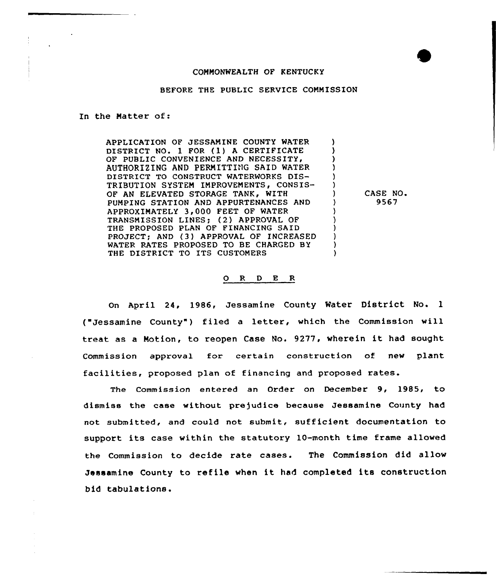## COMMONWEALTH OF KENTUCKY

BEFORE THE PUBLIC SERVICE COMMISSION

In the Matter of:

APPLICATION OF JESSAMINE COUNTY WATER DISTRICT NO. <sup>1</sup> FOR (1) <sup>A</sup> CERTIFICATE OF PUBLIC CONVENIENCE AND NECESSITY, AUTHORIZING AND PERMITTING SAID WATER DISTRICT TO CONSTRUCT WATERWORKS DIS-TRIBUTION SYSTEM IMPROVEMENTS, CONSIS-OF AN ELEVATED STORAGE TANK, WITH PUMPING STATION AND APPURTENANCES AND APPROXIMATELY 3,000 FEET OF WATER TRANSMISSION LINES; (2) APPROVAL OF THE PROPOSED PLAN OF FINANCING SAID PROJECT; AND (3) APPROVAL OF INCREASED WATER RATES PROPOSED TO BE CHARGED BY THE DISTRICT TO ITS CUSTOMERS

CASE NO 9567

A

١. Δ,

## 0 R <sup>D</sup> E R

On April 24, 1986, Jessamine County Water District No. <sup>1</sup> ("Jessamine County") filed a letter, which the Commission will treat as <sup>a</sup> Motion, to reopen Case No. 9277, wherein it had sought Commission approval for certain construction of new plant facilities, proposed plan of financing and proposed rates.

The Commission entered an Order on December 9, 1985, to dismiss the case without pre)udice because Jessamine County had not submitted, and could not submit, sufficient documentation to support its case within the statutory 10-month time frame allowed the Commission to decide rate cases. The Commission did allow Jessamine County to ref ile when it had completed its construction bid tabulations.